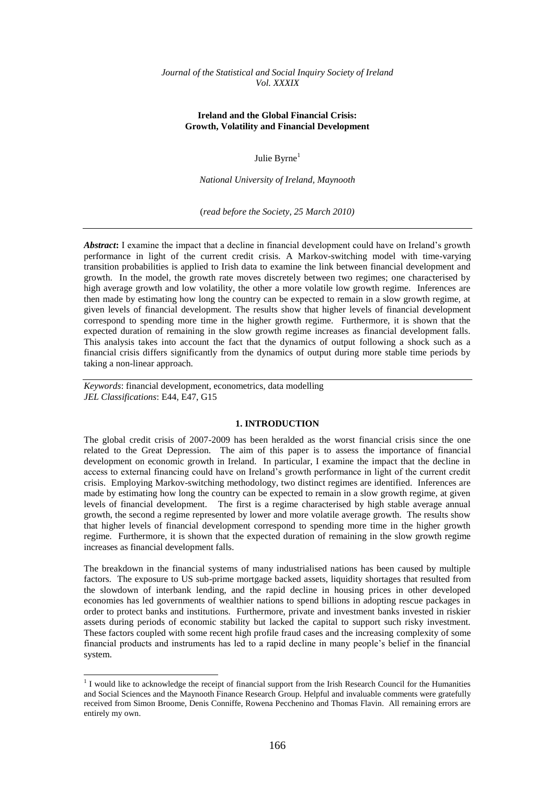# **Ireland and the Global Financial Crisis: Growth, Volatility and Financial Development**

Julie Byrne<sup>1</sup>

*National University of Ireland, Maynooth*

(*read before the Society, 25 March 2010)*

Abstract: I examine the impact that a decline in financial development could have on Ireland's growth performance in light of the current credit crisis. A Markov-switching model with time-varying transition probabilities is applied to Irish data to examine the link between financial development and growth. In the model, the growth rate moves discretely between two regimes; one characterised by high average growth and low volatility, the other a more volatile low growth regime. Inferences are then made by estimating how long the country can be expected to remain in a slow growth regime, at given levels of financial development. The results show that higher levels of financial development correspond to spending more time in the higher growth regime. Furthermore, it is shown that the expected duration of remaining in the slow growth regime increases as financial development falls. This analysis takes into account the fact that the dynamics of output following a shock such as a financial crisis differs significantly from the dynamics of output during more stable time periods by taking a non-linear approach.

*Keywords*: financial development, econometrics, data modelling *JEL Classifications*: E44, E47, G15

-

# **1. INTRODUCTION**

The global credit crisis of 2007-2009 has been heralded as the worst financial crisis since the one related to the Great Depression. The aim of this paper is to assess the importance of financial development on economic growth in Ireland. In particular, I examine the impact that the decline in access to external financing could have on Ireland"s growth performance in light of the current credit crisis. Employing Markov-switching methodology, two distinct regimes are identified. Inferences are made by estimating how long the country can be expected to remain in a slow growth regime, at given levels of financial development. The first is a regime characterised by high stable average annual growth, the second a regime represented by lower and more volatile average growth. The results show that higher levels of financial development correspond to spending more time in the higher growth regime. Furthermore, it is shown that the expected duration of remaining in the slow growth regime increases as financial development falls.

The breakdown in the financial systems of many industrialised nations has been caused by multiple factors. The exposure to US sub-prime mortgage backed assets, liquidity shortages that resulted from the slowdown of interbank lending, and the rapid decline in housing prices in other developed economies has led governments of wealthier nations to spend billions in adopting rescue packages in order to protect banks and institutions. Furthermore, private and investment banks invested in riskier assets during periods of economic stability but lacked the capital to support such risky investment. These factors coupled with some recent high profile fraud cases and the increasing complexity of some financial products and instruments has led to a rapid decline in many people"s belief in the financial system.

<sup>&</sup>lt;sup>1</sup> I would like to acknowledge the receipt of financial support from the Irish Research Council for the Humanities and Social Sciences and the Maynooth Finance Research Group. Helpful and invaluable comments were gratefully received from Simon Broome, Denis Conniffe, Rowena Pecchenino and Thomas Flavin. All remaining errors are entirely my own.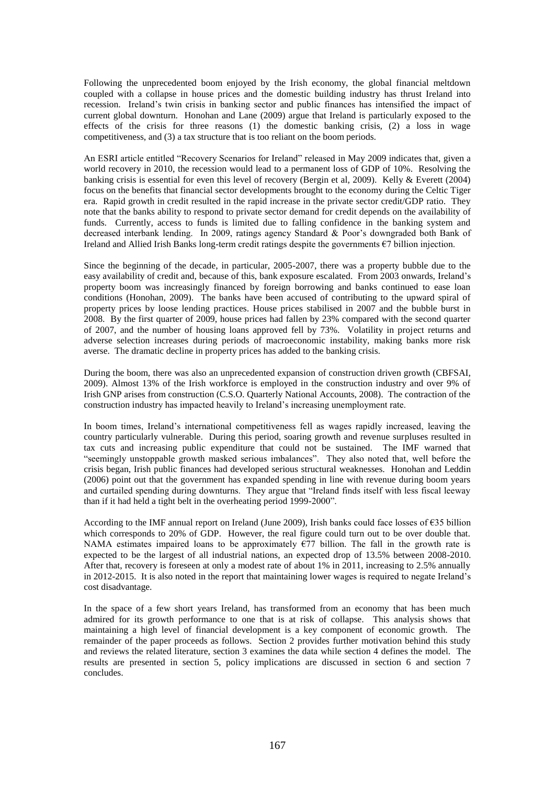Following the unprecedented boom enjoyed by the Irish economy, the global financial meltdown coupled with a collapse in house prices and the domestic building industry has thrust Ireland into recession. Ireland"s twin crisis in banking sector and public finances has intensified the impact of current global downturn. Honohan and Lane (2009) argue that Ireland is particularly exposed to the effects of the crisis for three reasons (1) the domestic banking crisis, (2) a loss in wage competitiveness, and (3) a tax structure that is too reliant on the boom periods.

An ESRI article entitled "Recovery Scenarios for Ireland" released in May 2009 indicates that, given a world recovery in 2010, the recession would lead to a permanent loss of GDP of 10%. Resolving the banking crisis is essential for even this level of recovery (Bergin et al, 2009). Kelly & Everett (2004) focus on the benefits that financial sector developments brought to the economy during the Celtic Tiger era. Rapid growth in credit resulted in the rapid increase in the private sector credit/GDP ratio. They note that the banks ability to respond to private sector demand for credit depends on the availability of funds. Currently, access to funds is limited due to falling confidence in the banking system and decreased interbank lending. In 2009, ratings agency Standard & Poor"s downgraded both Bank of Ireland and Allied Irish Banks long-term credit ratings despite the governments €7 billion injection.

Since the beginning of the decade, in particular, 2005-2007, there was a property bubble due to the easy availability of credit and, because of this, bank exposure escalated. From 2003 onwards, Ireland"s property boom was increasingly financed by foreign borrowing and banks continued to ease loan conditions (Honohan, 2009). The banks have been accused of contributing to the upward spiral of property prices by loose lending practices. House prices stabilised in 2007 and the bubble burst in 2008. By the first quarter of 2009, house prices had fallen by 23% compared with the second quarter of 2007, and the number of housing loans approved fell by 73%. Volatility in project returns and adverse selection increases during periods of macroeconomic instability, making banks more risk averse. The dramatic decline in property prices has added to the banking crisis.

During the boom, there was also an unprecedented expansion of construction driven growth (CBFSAI, 2009). Almost 13% of the Irish workforce is employed in the construction industry and over 9% of Irish GNP arises from construction (C.S.O. Quarterly National Accounts, 2008). The contraction of the construction industry has impacted heavily to Ireland"s increasing unemployment rate.

In boom times, Ireland"s international competitiveness fell as wages rapidly increased, leaving the country particularly vulnerable. During this period, soaring growth and revenue surpluses resulted in tax cuts and increasing public expenditure that could not be sustained. The IMF warned that "seemingly unstoppable growth masked serious imbalances". They also noted that, well before the crisis began, Irish public finances had developed serious structural weaknesses. Honohan and Leddin (2006) point out that the government has expanded spending in line with revenue during boom years and curtailed spending during downturns. They argue that "Ireland finds itself with less fiscal leeway than if it had held a tight belt in the overheating period 1999-2000".

According to the IMF annual report on Ireland (June 2009), Irish banks could face losses of  $635$  billion which corresponds to 20% of GDP. However, the real figure could turn out to be over double that. NAMA estimates impaired loans to be approximately  $\epsilon$ 77 billion. The fall in the growth rate is expected to be the largest of all industrial nations, an expected drop of 13.5% between 2008-2010. After that, recovery is foreseen at only a modest rate of about 1% in 2011, increasing to 2.5% annually in 2012-2015. It is also noted in the report that maintaining lower wages is required to negate Ireland"s cost disadvantage.

In the space of a few short years Ireland, has transformed from an economy that has been much admired for its growth performance to one that is at risk of collapse. This analysis shows that maintaining a high level of financial development is a key component of economic growth. The remainder of the paper proceeds as follows. Section 2 provides further motivation behind this study and reviews the related literature, section 3 examines the data while section 4 defines the model. The results are presented in section 5, policy implications are discussed in section 6 and section 7 concludes.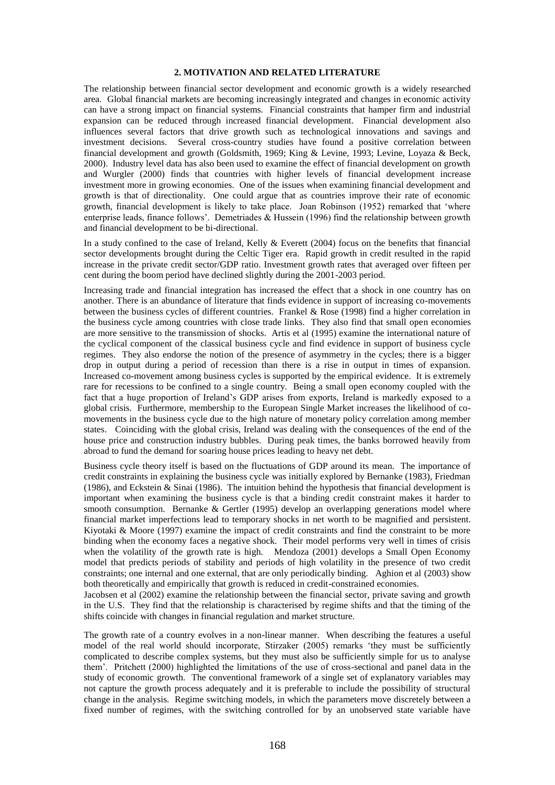# **2. MOTIVATION AND RELATED LITERATURE**

The relationship between financial sector development and economic growth is a widely researched area. Global financial markets are becoming increasingly integrated and changes in economic activity can have a strong impact on financial systems. Financial constraints that hamper firm and industrial expansion can be reduced through increased financial development. Financial development also influences several factors that drive growth such as technological innovations and savings and investment decisions. Several cross-country studies have found a positive correlation between financial development and growth (Goldsmith, 1969; King & Levine, 1993; Levine, Loyaza & Beck, 2000). Industry level data has also been used to examine the effect of financial development on growth and Wurgler (2000) finds that countries with higher levels of financial development increase investment more in growing economies. One of the issues when examining financial development and growth is that of directionality. One could argue that as countries improve their rate of economic growth, financial development is likely to take place. Joan Robinson (1952) remarked that "where enterprise leads, finance follows'. Demetriades  $&$  Hussein (1996) find the relationship between growth and financial development to be bi-directional.

In a study confined to the case of Ireland, Kelly & Everett (2004) focus on the benefits that financial sector developments brought during the Celtic Tiger era. Rapid growth in credit resulted in the rapid increase in the private credit sector/GDP ratio. Investment growth rates that averaged over fifteen per cent during the boom period have declined slightly during the 2001-2003 period.

Increasing trade and financial integration has increased the effect that a shock in one country has on another. There is an abundance of literature that finds evidence in support of increasing co-movements between the business cycles of different countries. Frankel & Rose (1998) find a higher correlation in the business cycle among countries with close trade links. They also find that small open economies are more sensitive to the transmission of shocks. Artis et al (1995) examine the international nature of the cyclical component of the classical business cycle and find evidence in support of business cycle regimes. They also endorse the notion of the presence of asymmetry in the cycles; there is a bigger drop in output during a period of recession than there is a rise in output in times of expansion. Increased co-movement among business cycles is supported by the empirical evidence. It is extremely rare for recessions to be confined to a single country. Being a small open economy coupled with the fact that a huge proportion of Ireland"s GDP arises from exports, Ireland is markedly exposed to a global crisis. Furthermore, membership to the European Single Market increases the likelihood of comovements in the business cycle due to the high nature of monetary policy correlation among member states. Coinciding with the global crisis, Ireland was dealing with the consequences of the end of the house price and construction industry bubbles. During peak times, the banks borrowed heavily from abroad to fund the demand for soaring house prices leading to heavy net debt.

Business cycle theory itself is based on the fluctuations of GDP around its mean. The importance of credit constraints in explaining the business cycle was initially explored by Bernanke (1983), Friedman (1986), and Eckstein  $\&$  Sinai (1986). The intuition behind the hypothesis that financial development is important when examining the business cycle is that a binding credit constraint makes it harder to smooth consumption. Bernanke & Gertler (1995) develop an overlapping generations model where financial market imperfections lead to temporary shocks in net worth to be magnified and persistent. Kiyotaki & Moore (1997) examine the impact of credit constraints and find the constraint to be more binding when the economy faces a negative shock. Their model performs very well in times of crisis when the volatility of the growth rate is high. Mendoza (2001) develops a Small Open Economy model that predicts periods of stability and periods of high volatility in the presence of two credit constraints; one internal and one external, that are only periodically binding. Aghion et al (2003) show both theoretically and empirically that growth is reduced in credit-constrained economies.

Jacobsen et al (2002) examine the relationship between the financial sector, private saving and growth in the U.S. They find that the relationship is characterised by regime shifts and that the timing of the shifts coincide with changes in financial regulation and market structure.

The growth rate of a country evolves in a non-linear manner. When describing the features a useful model of the real world should incorporate, Stirzaker (2005) remarks 'they must be sufficiently complicated to describe complex systems, but they must also be sufficiently simple for us to analyse them". Pritchett (2000) highlighted the limitations of the use of cross-sectional and panel data in the study of economic growth. The conventional framework of a single set of explanatory variables may not capture the growth process adequately and it is preferable to include the possibility of structural change in the analysis. Regime switching models, in which the parameters move discretely between a fixed number of regimes, with the switching controlled for by an unobserved state variable have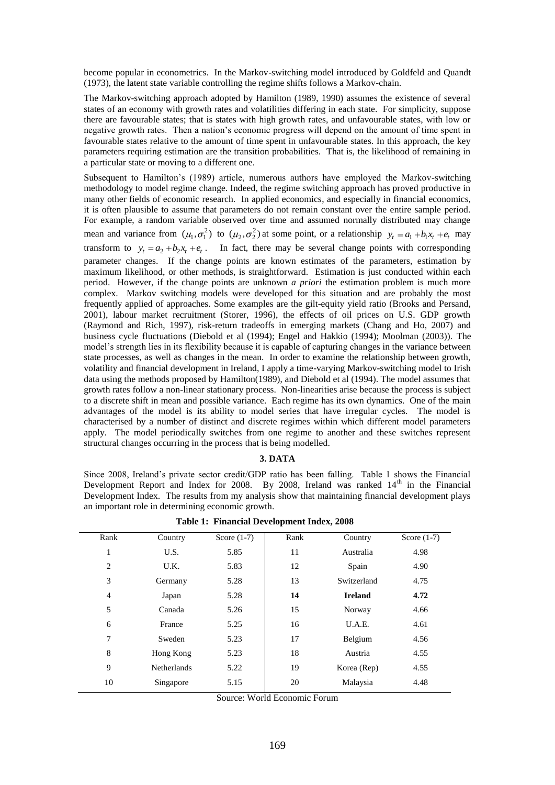become popular in econometrics. In the Markov-switching model introduced by Goldfeld and Quandt (1973), the latent state variable controlling the regime shifts follows a Markov-chain.

The Markov-switching approach adopted by Hamilton (1989, 1990) assumes the existence of several states of an economy with growth rates and volatilities differing in each state. For simplicity, suppose there are favourable states; that is states with high growth rates, and unfavourable states, with low or negative growth rates. Then a nation"s economic progress will depend on the amount of time spent in favourable states relative to the amount of time spent in unfavourable states. In this approach, the key parameters requiring estimation are the transition probabilities. That is, the likelihood of remaining in a particular state or moving to a different one.

Subsequent to Hamilton's (1989) article, numerous authors have employed the Markov-switching methodology to model regime change. Indeed, the regime switching approach has proved productive in many other fields of economic research. In applied economics, and especially in financial economics, it is often plausible to assume that parameters do not remain constant over the entire sample period. For example, a random variable observed over time and assumed normally distributed may change mean and variance from  $(\mu_1, \sigma_1^2)$  to  $(\mu_2, \sigma_2^2)$  at some point, or a relationship  $y_t = a_1 + b_1 x_t + e_t$  may transform to  $y_t = a_2 + b_2x_t + e_t$ . In fact, there may be several change points with corresponding parameter changes. If the change points are known estimates of the parameters, estimation by maximum likelihood, or other methods, is straightforward. Estimation is just conducted within each period. However, if the change points are unknown *a priori* the estimation problem is much more complex. Markov switching models were developed for this situation and are probably the most frequently applied of approaches. Some examples are the gilt-equity yield ratio (Brooks and Persand, 2001), labour market recruitment (Storer, 1996), the effects of oil prices on U.S. GDP growth (Raymond and Rich, 1997), risk-return tradeoffs in emerging markets (Chang and Ho, 2007) and business cycle fluctuations (Diebold et al (1994); Engel and Hakkio (1994); Moolman (2003)). The model"s strength lies in its flexibility because it is capable of capturing changes in the variance between state processes, as well as changes in the mean. In order to examine the relationship between growth, volatility and financial development in Ireland, I apply a time-varying Markov-switching model to Irish data using the methods proposed by Hamilton(1989), and Diebold et al (1994). The model assumes that growth rates follow a non-linear stationary process. Non-linearities arise because the process is subject to a discrete shift in mean and possible variance. Each regime has its own dynamics. One of the main advantages of the model is its ability to model series that have irregular cycles. The model is characterised by a number of distinct and discrete regimes within which different model parameters apply. The model periodically switches from one regime to another and these switches represent structural changes occurring in the process that is being modelled.

# **3. DATA**

Since 2008, Ireland"s private sector credit/GDP ratio has been falling. Table 1 shows the Financial Development Report and Index for 2008. By 2008, Ireland was ranked  $14<sup>th</sup>$  in the Financial Development Index. The results from my analysis show that maintaining financial development plays an important role in determining economic growth.

| Rank | Country            | Score $(1-7)$ | Rank | Country        | Score $(1-7)$ |
|------|--------------------|---------------|------|----------------|---------------|
| 1    | U.S.               | 5.85          | 11   | Australia      | 4.98          |
| 2    | U.K.               | 5.83          | 12   | Spain          | 4.90          |
| 3    | Germany            | 5.28          | 13   | Switzerland    | 4.75          |
| 4    | Japan              | 5.28          | 14   | <b>Ireland</b> | 4.72          |
| 5    | Canada             | 5.26          | 15   | Norway         | 4.66          |
| 6    | France             | 5.25          | 16   | U.A.E.         | 4.61          |
| 7    | Sweden             | 5.23          | 17   | Belgium        | 4.56          |
| 8    | Hong Kong          | 5.23          | 18   | Austria        | 4.55          |
| 9    | <b>Netherlands</b> | 5.22          | 19   | Korea (Rep)    | 4.55          |
| 10   | Singapore          | 5.15          | 20   | Malaysia       | 4.48          |

**Table 1: Financial Development Index, 2008**

Source: World Economic Forum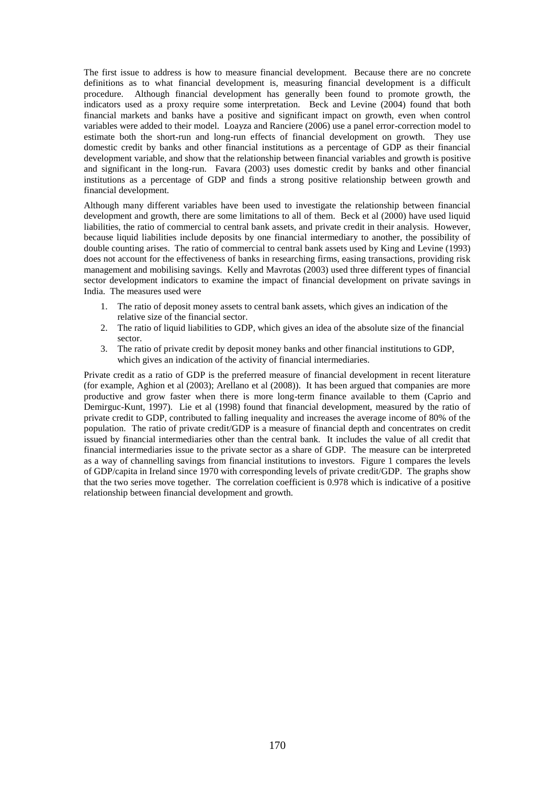The first issue to address is how to measure financial development. Because there are no concrete definitions as to what financial development is, measuring financial development is a difficult procedure. Although financial development has generally been found to promote growth, the indicators used as a proxy require some interpretation. Beck and Levine (2004) found that both financial markets and banks have a positive and significant impact on growth, even when control variables were added to their model. Loayza and Ranciere (2006) use a panel error-correction model to estimate both the short-run and long-run effects of financial development on growth. They use domestic credit by banks and other financial institutions as a percentage of GDP as their financial development variable, and show that the relationship between financial variables and growth is positive and significant in the long-run. Favara (2003) uses domestic credit by banks and other financial institutions as a percentage of GDP and finds a strong positive relationship between growth and financial development.

Although many different variables have been used to investigate the relationship between financial development and growth, there are some limitations to all of them. Beck et al (2000) have used liquid liabilities, the ratio of commercial to central bank assets, and private credit in their analysis. However, because liquid liabilities include deposits by one financial intermediary to another, the possibility of double counting arises. The ratio of commercial to central bank assets used by King and Levine (1993) does not account for the effectiveness of banks in researching firms, easing transactions, providing risk management and mobilising savings. Kelly and Mavrotas (2003) used three different types of financial sector development indicators to examine the impact of financial development on private savings in India. The measures used were

- 1. The ratio of deposit money assets to central bank assets, which gives an indication of the relative size of the financial sector.
- 2. The ratio of liquid liabilities to GDP, which gives an idea of the absolute size of the financial sector.
- 3. The ratio of private credit by deposit money banks and other financial institutions to GDP, which gives an indication of the activity of financial intermediaries.

Private credit as a ratio of GDP is the preferred measure of financial development in recent literature (for example, Aghion et al (2003); Arellano et al (2008)). It has been argued that companies are more productive and grow faster when there is more long-term finance available to them (Caprio and Demirguc-Kunt, 1997). Lie et al (1998) found that financial development, measured by the ratio of private credit to GDP, contributed to falling inequality and increases the average income of 80% of the population. The ratio of private credit/GDP is a measure of financial depth and concentrates on credit issued by financial intermediaries other than the central bank. It includes the value of all credit that financial intermediaries issue to the private sector as a share of GDP. The measure can be interpreted as a way of channelling savings from financial institutions to investors. Figure 1 compares the levels of GDP/capita in Ireland since 1970 with corresponding levels of private credit/GDP. The graphs show that the two series move together. The correlation coefficient is 0.978 which is indicative of a positive relationship between financial development and growth.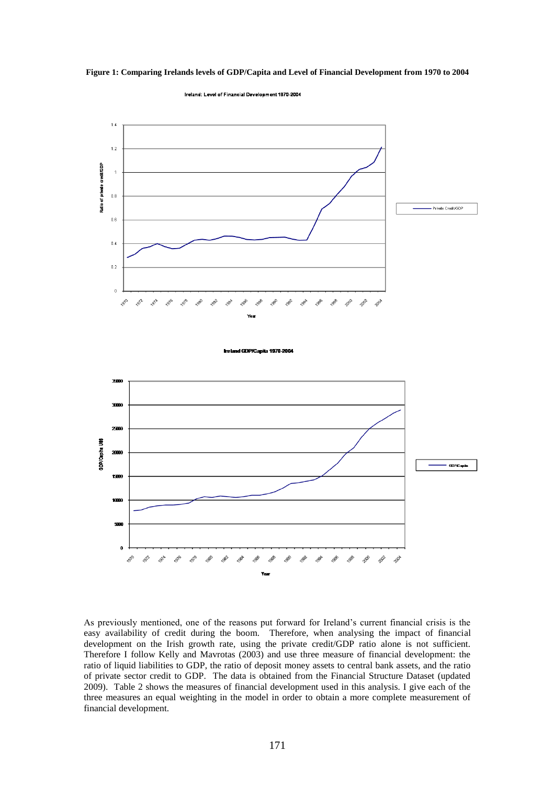



Ireland: Level of Financial Development 1970-2004

l GDP/Capita 1970-2004



As previously mentioned, one of the reasons put forward for Ireland"s current financial crisis is the easy availability of credit during the boom. Therefore, when analysing the impact of financial development on the Irish growth rate, using the private credit/GDP ratio alone is not sufficient. Therefore I follow Kelly and Mavrotas (2003) and use three measure of financial development: the ratio of liquid liabilities to GDP, the ratio of deposit money assets to central bank assets, and the ratio of private sector credit to GDP. The data is obtained from the Financial Structure Dataset (updated 2009). Table 2 shows the measures of financial development used in this analysis. I give each of the three measures an equal weighting in the model in order to obtain a more complete measurement of financial development.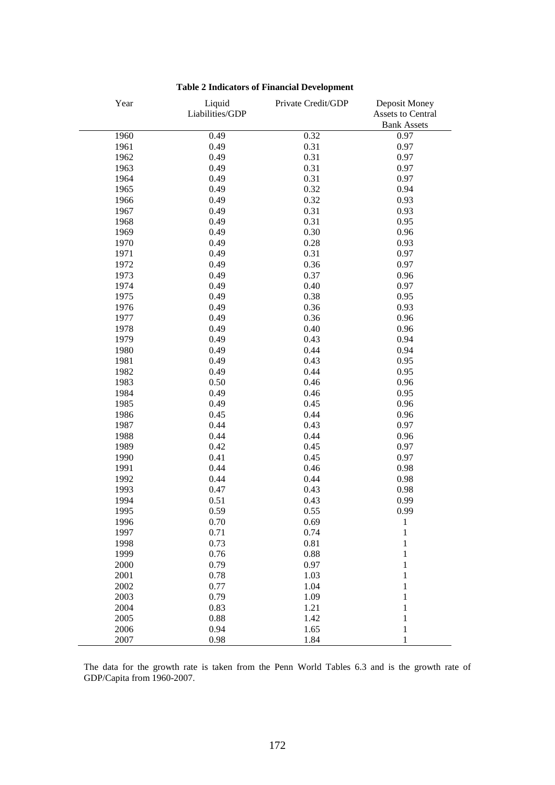| Year | Liquid<br>Liabilities/GDP | Private Credit/GDP | Deposit Money<br>Assets to Central |
|------|---------------------------|--------------------|------------------------------------|
|      |                           |                    | <b>Bank Assets</b>                 |
| 1960 | 0.49                      | 0.32               | 0.97                               |
| 1961 | 0.49                      | 0.31               | 0.97                               |
| 1962 | 0.49                      | 0.31               | 0.97                               |
| 1963 | 0.49                      | 0.31               | 0.97                               |
| 1964 | 0.49                      | 0.31               | 0.97                               |
| 1965 | 0.49                      | 0.32               | 0.94                               |
| 1966 | 0.49                      | 0.32               | 0.93                               |
| 1967 | 0.49                      | 0.31               | 0.93                               |
| 1968 | 0.49                      | 0.31               | 0.95                               |
| 1969 | 0.49                      | 0.30               | 0.96                               |
| 1970 | 0.49                      | 0.28               | 0.93                               |
| 1971 | 0.49                      | 0.31               | 0.97                               |
| 1972 | 0.49                      | 0.36               | 0.97                               |
| 1973 | 0.49                      | 0.37               | 0.96                               |
| 1974 | 0.49                      | 0.40               | 0.97                               |
| 1975 | 0.49                      | 0.38               | 0.95                               |
| 1976 | 0.49                      | 0.36               | 0.93                               |
| 1977 | 0.49                      | 0.36               | 0.96                               |
| 1978 | 0.49                      | 0.40               | 0.96                               |
| 1979 | 0.49                      | 0.43               | 0.94                               |
| 1980 | 0.49                      | 0.44               | 0.94                               |
| 1981 | 0.49                      | 0.43               | 0.95                               |
| 1982 | 0.49                      | 0.44               | 0.95                               |
| 1983 | 0.50                      | 0.46               | 0.96                               |
| 1984 | 0.49                      | 0.46               | 0.95                               |
| 1985 | 0.49                      | 0.45               | 0.96                               |
| 1986 | 0.45                      | 0.44               | 0.96                               |
| 1987 | 0.44                      | 0.43               | 0.97                               |
| 1988 | 0.44                      | 0.44               | 0.96                               |
| 1989 | 0.42                      | 0.45               | 0.97                               |
| 1990 | 0.41                      | 0.45               | 0.97                               |
| 1991 | 0.44                      | 0.46               | 0.98                               |
| 1992 | 0.44                      | 0.44               | 0.98                               |
| 1993 | 0.47                      | 0.43               | 0.98                               |
| 1994 | 0.51                      | 0.43               | 0.99                               |
| 1995 | 0.59                      | 0.55               | 0.99                               |
| 1996 | 0.70                      | 0.69               | $\mathbf 1$                        |
| 1997 | 0.71                      | 0.74               | $\mathbf{1}$                       |
| 1998 | 0.73                      | 0.81               | $\mathbf{1}$                       |
| 1999 | 0.76                      | 0.88               | $\mathbf{1}$                       |
| 2000 | 0.79                      | 0.97               | $\mathbf{1}$                       |
| 2001 | 0.78                      | 1.03               | $\mathbf{1}$                       |
| 2002 | 0.77                      | 1.04               | $\mathbf{1}$                       |
| 2003 | 0.79                      | 1.09               | $\mathbf{1}$                       |
| 2004 | 0.83                      | 1.21               | $\mathbf{1}$                       |
| 2005 | 0.88                      | 1.42               | $\mathbf{1}$                       |
| 2006 | 0.94                      | 1.65               | $\mathbf{1}$                       |
| 2007 | 0.98                      | 1.84               | 1                                  |

# **Table 2 Indicators of Financial Development**

The data for the growth rate is taken from the Penn World Tables 6.3 and is the growth rate of GDP/Capita from 1960-2007.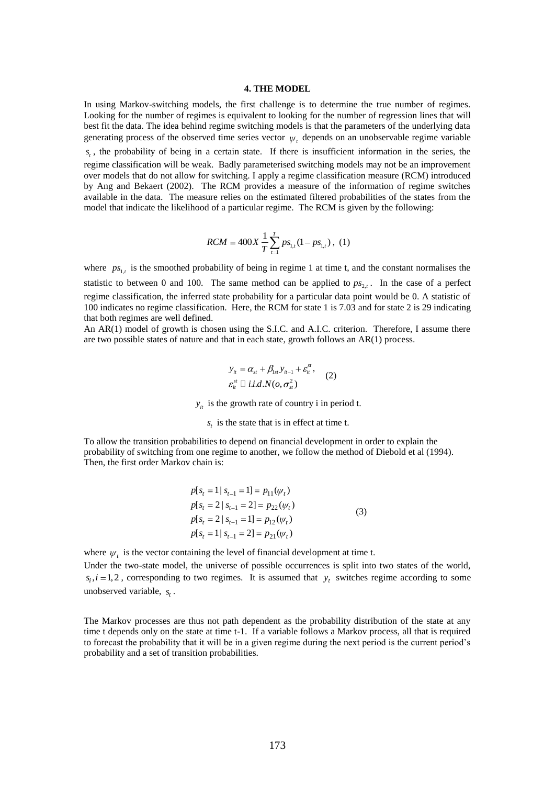### **4. THE MODEL**

In using Markov-switching models, the first challenge is to determine the true number of regimes. Looking for the number of regimes is equivalent to looking for the number of regression lines that will best fit the data. The idea behind regime switching models is that the parameters of the underlying data generating process of the observed time series vector  $\psi_t$ , depends on an unobservable regime variable

*t s* , the probability of being in a certain state. If there is insufficient information in the series, the regime classification will be weak. Badly parameterised switching models may not be an improvement over models that do not allow for switching. I apply a regime classification measure (RCM) introduced by Ang and Bekaert (2002). The RCM provides a measure of the information of regime switches available in the data. The measure relies on the estimated filtered probabilities of the states from the model that indicate the likelihood of a particular regime. The RCM is given by the following:

$$
RCM = 400X \frac{1}{T} \sum_{t=1}^{T} ps_{1,t} (1 - ps_{1,t}), (1)
$$

where  $ps_{1,t}$  is the smoothed probability of being in regime 1 at time t, and the constant normalises the statistic to between 0 and 100. The same method can be applied to  $ps_{2,t}$ . In the case of a perfect regime classification, the inferred state probability for a particular data point would be 0. A statistic of 100 indicates no regime classification. Here, the RCM for state 1 is 7.03 and for state 2 is 29 indicating that both regimes are well defined.

An AR(1) model of growth is chosen using the S.I.C. and A.I.C. criterion. Therefore, I assume there are two possible states of nature and that in each state, growth follows an AR(1) process.

$$
y_{it} = \alpha_{st} + \beta_{1st} y_{it-1} + \varepsilon_{it}^{st},
$$
  
\n
$$
\varepsilon_{it}^{st} \sqcup i.i.d.N(o, \sigma_{st}^2)
$$
 (2)

 $y_{it}$  is the growth rate of country i in period t.

 $s_t$  is the state that is in effect at time t.

To allow the transition probabilities to depend on financial development in order to explain the probability of switching from one regime to another, we follow the method of Diebold et al (1994). Then, the first order Markov chain is:

$$
p[s_t = 1 | s_{t-1} = 1] = p_{11}(\psi_t)
$$
  
\n
$$
p[s_t = 2 | s_{t-1} = 2] = p_{22}(\psi_t)
$$
  
\n
$$
p[s_t = 2 | s_{t-1} = 1] = p_{12}(\psi_t)
$$
  
\n
$$
p[s_t = 1 | s_{t-1} = 2] = p_{21}(\psi_t)
$$
\n(3)

where  $\psi_t$  is the vector containing the level of financial development at time t.

Under the two-state model, the universe of possible occurrences is split into two states of the world,  $s_i$ ,  $i = 1, 2$ , corresponding to two regimes. It is assumed that  $y_t$  switches regime according to some unobserved variable,  $s_t$ .

The Markov processes are thus not path dependent as the probability distribution of the state at any time t depends only on the state at time t-1. If a variable follows a Markov process, all that is required to forecast the probability that it will be in a given regime during the next period is the current period"s probability and a set of transition probabilities.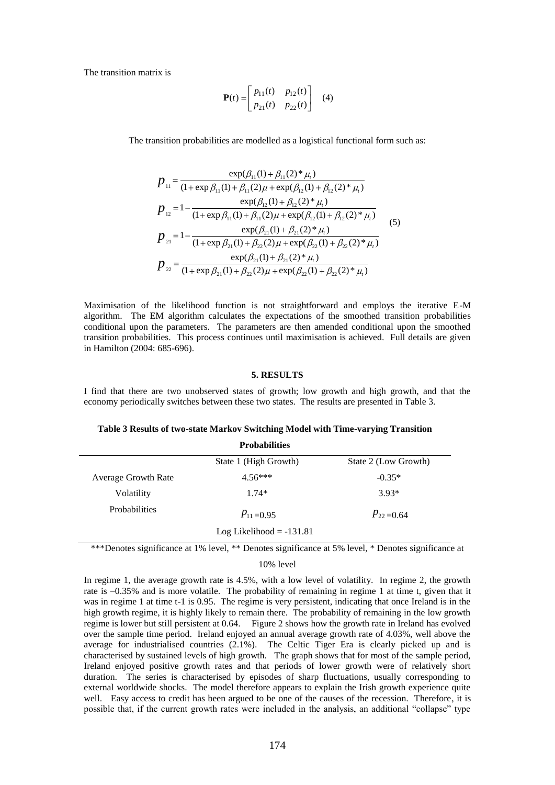The transition matrix is

$$
\mathbf{P}(t) = \begin{bmatrix} p_{11}(t) & p_{12}(t) \\ p_{21}(t) & p_{22}(t) \end{bmatrix} (4)
$$

The transition probabilities are modelled as a logistical functional form such as:

$$
p_{11} = \frac{\exp(\beta_{11}(1) + \beta_{11}(2) * \mu_{i})}{(1 + \exp \beta_{11}(1) + \beta_{11}(2) \mu + \exp(\beta_{12}(1) + \beta_{12}(2) * \mu_{i})}
$$
  
\n
$$
p_{12} = 1 - \frac{\exp(\beta_{12}(1) + \beta_{12}(2) * \mu_{i})}{(1 + \exp \beta_{11}(1) + \beta_{11}(2) \mu + \exp(\beta_{12}(1) + \beta_{12}(2) * \mu_{i})}
$$
  
\n
$$
p_{21} = 1 - \frac{\exp(\beta_{21}(1) + \beta_{21}(2) * \mu_{i})}{(1 + \exp \beta_{21}(1) + \beta_{22}(2) \mu + \exp(\beta_{22}(1) + \beta_{22}(2) * \mu_{i})}
$$
  
\n
$$
p_{22} = \frac{\exp(\beta_{21}(1) + \beta_{21}(2) * \mu_{i})}{(1 + \exp \beta_{21}(1) + \beta_{22}(2) \mu + \exp(\beta_{22}(1) + \beta_{22}(2) * \mu_{i})}
$$
  
\n(5)

Maximisation of the likelihood function is not straightforward and employs the iterative E-M algorithm. The EM algorithm calculates the expectations of the smoothed transition probabilities conditional upon the parameters. The parameters are then amended conditional upon the smoothed transition probabilities. This process continues until maximisation is achieved. Full details are given in Hamilton (2004: 685-696).

### **5. RESULTS**

I find that there are two unobserved states of growth; low growth and high growth, and that the economy periodically switches between these two states. The results are presented in Table 3.

### **Table 3 Results of two-state Markov Switching Model with Time-varying Transition**

|                            | <b>Probabilities</b>       |                      |
|----------------------------|----------------------------|----------------------|
|                            | State 1 (High Growth)      | State 2 (Low Growth) |
| <b>Average Growth Rate</b> | $4.56***$                  | $-0.35*$             |
| Volatility                 | $1.74*$                    | $3.93*$              |
| Probabilities              | $P_{11} = 0.95$            | $P_{22} = 0.64$      |
|                            | Log Likelihood $= -131.81$ |                      |

\*\*\*Denotes significance at 1% level, \*\* Denotes significance at 5% level, \* Denotes significance at

#### 10% level

In regime 1, the average growth rate is 4.5%, with a low level of volatility. In regime 2, the growth rate is –0.35% and is more volatile. The probability of remaining in regime 1 at time t, given that it was in regime 1 at time t-1 is 0.95. The regime is very persistent, indicating that once Ireland is in the high growth regime, it is highly likely to remain there. The probability of remaining in the low growth regime is lower but still persistent at 0.64. Figure 2 shows how the growth rate in Ireland has evolved over the sample time period. Ireland enjoyed an annual average growth rate of 4.03%, well above the average for industrialised countries (2.1%). The Celtic Tiger Era is clearly picked up and is characterised by sustained levels of high growth. The graph shows that for most of the sample period, Ireland enjoyed positive growth rates and that periods of lower growth were of relatively short duration. The series is characterised by episodes of sharp fluctuations, usually corresponding to external worldwide shocks. The model therefore appears to explain the Irish growth experience quite well. Easy access to credit has been argued to be one of the causes of the recession. Therefore, it is possible that, if the current growth rates were included in the analysis, an additional "collapse" type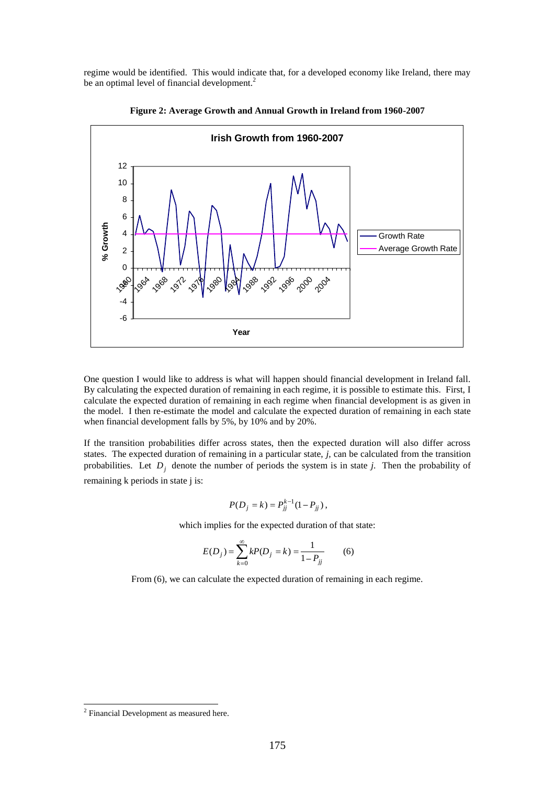regime would be identified. This would indicate that, for a developed economy like Ireland, there may be an optimal level of financial development.<sup>2</sup>



**Figure 2: Average Growth and Annual Growth in Ireland from 1960-2007**

One question I would like to address is what will happen should financial development in Ireland fall. By calculating the expected duration of remaining in each regime, it is possible to estimate this. First, I calculate the expected duration of remaining in each regime when financial development is as given in the model. I then re-estimate the model and calculate the expected duration of remaining in each state when financial development falls by 5%, by 10% and by 20%.

If the transition probabilities differ across states, then the expected duration will also differ across states. The expected duration of remaining in a particular state, *j,* can be calculated from the transition probabilities. Let  $D_j$  denote the number of periods the system is in state *j*. Then the probability of remaining k periods in state j is:

$$
P(D_j = k) = P_{jj}^{k-1} (1 - P_{jj}),
$$

which implies for the expected duration of that state:

$$
E(D_j) = \sum_{k=0}^{\infty} kP(D_j = k) = \frac{1}{1 - P_{jj}}
$$
 (6)

From (6), we can calculate the expected duration of remaining in each regime.

 2 Financial Development as measured here.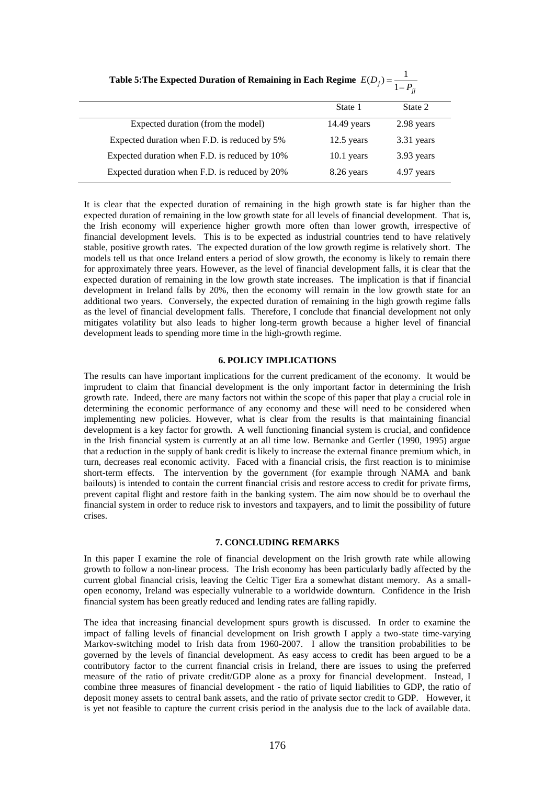|                                               | $1 - F_{ii}$  |            |  |
|-----------------------------------------------|---------------|------------|--|
|                                               | State 1       | State 2    |  |
| Expected duration (from the model)            | $14.49$ years | 2.98 years |  |
| Expected duration when F.D. is reduced by 5%  | $12.5$ years  | 3.31 years |  |
| Expected duration when F.D. is reduced by 10% | $10.1$ years  | 3.93 years |  |
| Expected duration when F.D. is reduced by 20% | 8.26 years    | 4.97 years |  |

Table 5: The Expected Duration of Remaining in Each Regime  $E(D_j) = \frac{1}{1 - P}$ 

It is clear that the expected duration of remaining in the high growth state is far higher than the expected duration of remaining in the low growth state for all levels of financial development. That is, the Irish economy will experience higher growth more often than lower growth, irrespective of financial development levels. This is to be expected as industrial countries tend to have relatively stable, positive growth rates. The expected duration of the low growth regime is relatively short. The models tell us that once Ireland enters a period of slow growth, the economy is likely to remain there for approximately three years. However, as the level of financial development falls, it is clear that the expected duration of remaining in the low growth state increases. The implication is that if financial development in Ireland falls by 20%, then the economy will remain in the low growth state for an additional two years. Conversely, the expected duration of remaining in the high growth regime falls as the level of financial development falls. Therefore, I conclude that financial development not only mitigates volatility but also leads to higher long-term growth because a higher level of financial development leads to spending more time in the high-growth regime.

### **6. POLICY IMPLICATIONS**

The results can have important implications for the current predicament of the economy. It would be imprudent to claim that financial development is the only important factor in determining the Irish growth rate. Indeed, there are many factors not within the scope of this paper that play a crucial role in determining the economic performance of any economy and these will need to be considered when implementing new policies. However, what is clear from the results is that maintaining financial development is a key factor for growth. A well functioning financial system is crucial, and confidence in the Irish financial system is currently at an all time low. Bernanke and Gertler (1990, 1995) argue that a reduction in the supply of bank credit is likely to increase the external finance premium which, in turn, decreases real economic activity. Faced with a financial crisis, the first reaction is to minimise short-term effects. The intervention by the government (for example through NAMA and bank bailouts) is intended to contain the current financial crisis and restore access to credit for private firms, prevent capital flight and restore faith in the banking system. The aim now should be to overhaul the financial system in order to reduce risk to investors and taxpayers, and to limit the possibility of future crises.

### **7. CONCLUDING REMARKS**

In this paper I examine the role of financial development on the Irish growth rate while allowing growth to follow a non-linear process. The Irish economy has been particularly badly affected by the current global financial crisis, leaving the Celtic Tiger Era a somewhat distant memory. As a smallopen economy, Ireland was especially vulnerable to a worldwide downturn. Confidence in the Irish financial system has been greatly reduced and lending rates are falling rapidly.

The idea that increasing financial development spurs growth is discussed. In order to examine the impact of falling levels of financial development on Irish growth I apply a two-state time-varying Markov-switching model to Irish data from 1960-2007. I allow the transition probabilities to be governed by the levels of financial development. As easy access to credit has been argued to be a contributory factor to the current financial crisis in Ireland, there are issues to using the preferred measure of the ratio of private credit/GDP alone as a proxy for financial development. Instead, I combine three measures of financial development - the ratio of liquid liabilities to GDP, the ratio of deposit money assets to central bank assets, and the ratio of private sector credit to GDP. However, it is yet not feasible to capture the current crisis period in the analysis due to the lack of available data.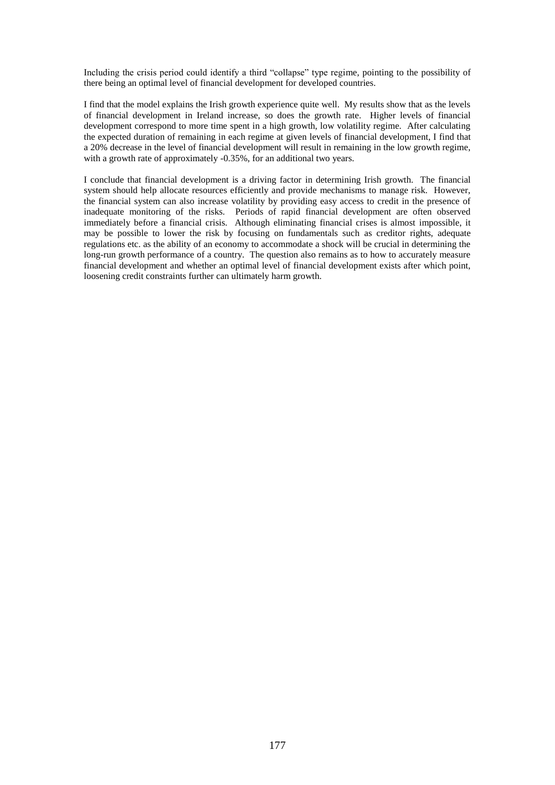Including the crisis period could identify a third "collapse" type regime, pointing to the possibility of there being an optimal level of financial development for developed countries.

I find that the model explains the Irish growth experience quite well. My results show that as the levels of financial development in Ireland increase, so does the growth rate. Higher levels of financial development correspond to more time spent in a high growth, low volatility regime. After calculating the expected duration of remaining in each regime at given levels of financial development, I find that a 20% decrease in the level of financial development will result in remaining in the low growth regime, with a growth rate of approximately -0.35%, for an additional two years.

I conclude that financial development is a driving factor in determining Irish growth. The financial system should help allocate resources efficiently and provide mechanisms to manage risk. However, the financial system can also increase volatility by providing easy access to credit in the presence of inadequate monitoring of the risks. Periods of rapid financial development are often observed immediately before a financial crisis. Although eliminating financial crises is almost impossible, it may be possible to lower the risk by focusing on fundamentals such as creditor rights, adequate regulations etc. as the ability of an economy to accommodate a shock will be crucial in determining the long-run growth performance of a country. The question also remains as to how to accurately measure financial development and whether an optimal level of financial development exists after which point, loosening credit constraints further can ultimately harm growth.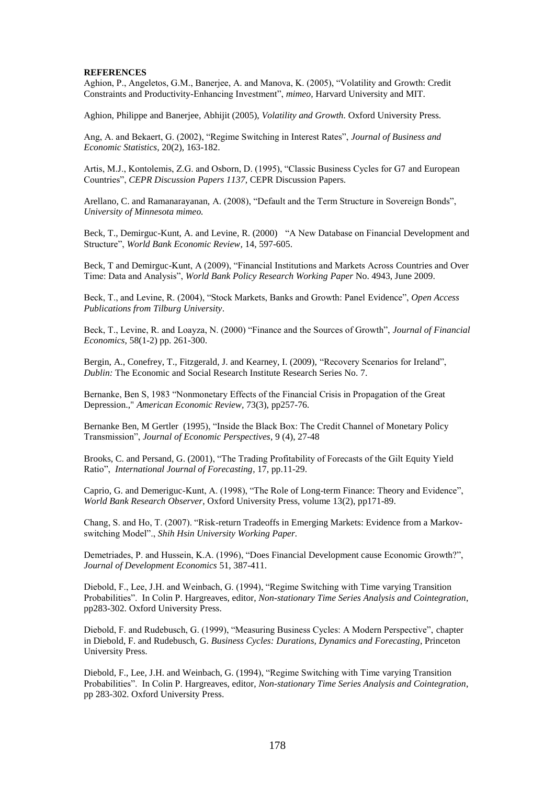### **REFERENCES**

Aghion, P., Angeletos, G.M., Banerjee, A. and Manova, K. (2005), "Volatility and Growth: Credit Constraints and Productivity-Enhancing Investment", *mimeo,* Harvard University and MIT.

Aghion, Philippe and Banerjee, Abhijit (2005), *Volatility and Growth.* Oxford University Press.

Ang, A. and Bekaert, G. (2002), "Regime Switching in Interest Rates", *Journal of Business and Economic Statistics*, 20(2), 163-182.

Artis, M.J., Kontolemis, Z.G. and Osborn, D. (1995), "Classic Business Cycles for G7 and European Countries", *CEPR Discussion Papers 1137*, CEPR Discussion Papers.

Arellano, C. and Ramanarayanan, A. (2008), "Default and the Term Structure in Sovereign Bonds", *University of Minnesota mimeo.*

Beck, T., Demirguc-Kunt, A. and Levine, R. (2000) "A New Database on Financial Development and Structure", *World Bank Economic Review,* 14, 597-605.

Beck, T and Demirguc-Kunt, A (2009), "Financial Institutions and Markets Across Countries and Over Time: Data and Analysis", *World Bank Policy Research Working Paper* No. 4943, June 2009.

Beck, T., and Levine, R. (2004), "Stock Markets, Banks and Growth: Panel Evidence", *Open Access Publications from Tilburg University*.

Beck, T., Levine, R. and Loayza, N. (2000) "Finance and the Sources of Growth", *Journal of Financial Economics*, 58(1-2) pp. 261-300.

Bergin, A., Conefrey, T., Fitzgerald, J. and Kearney, I. (2009), "Recovery Scenarios for Ireland", *Dublin:* The Economic and Social Research Institute Research Series No. 7.

Bernanke, Ben S, 1983 "Nonmonetary Effects of the Financial Crisis in Propagation of the Great Depression.," *[American Economic Review,](http://ideas.repec.org/s/aea/aecrev.html)* 73(3), pp257-76.

Bernanke Ben, M Gertler (1995), "Inside the Black Box: The Credit Channel of Monetary Policy Transmission", *Journal of Economic Perspectives*, 9 (4), 27-48

Brooks, C. and Persand, G. (2001), "The Trading Profitability of Forecasts of the Gilt Equity Yield Ratio", *International Journal of Forecasting*, 17, pp.11-29.

Caprio, G. and Demeriguc-Kunt, A. (1998), "The Role of Long-term Finance: Theory and Evidence", *World Bank Research Observer*, Oxford University Press, volume 13(2), pp171-89.

Chang, S. and Ho, T. (2007). "Risk-return Tradeoffs in Emerging Markets: Evidence from a Markovswitching Model"., *Shih Hsin University Working Paper.*

Demetriades, P. and Hussein, K.A. (1996), "Does Financial Development cause Economic Growth?", *Journal of Development Economics* 51, 387-411.

Diebold, F., Lee, J.H. and Weinbach, G. (1994), "Regime Switching with Time varying Transition Probabilities". In Colin P. Hargreaves, editor, *Non-stationary Time Series Analysis and Cointegration*, pp283-302. Oxford University Press.

Diebold, F. and Rudebusch, G. (1999), "Measuring Business Cycles: A Modern Perspective", chapter in Diebold, F. and Rudebusch, G. *Business Cycles: Durations, Dynamics and Forecasting*, Princeton University Press.

Diebold, F., Lee, J.H. and Weinbach, G. (1994), "Regime Switching with Time varying Transition Probabilities". In Colin P. Hargreaves, editor, *Non-stationary Time Series Analysis and Cointegration*, pp 283-302. Oxford University Press.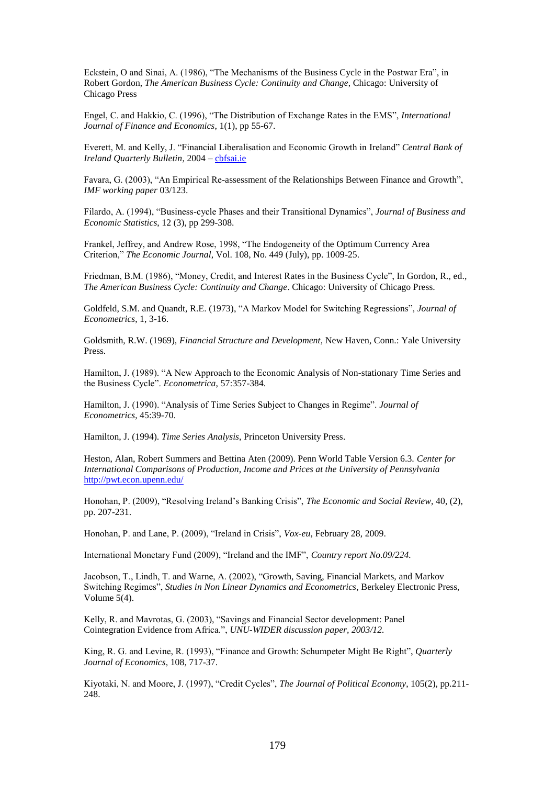Eckstein, O and Sinai, A. (1986), "The Mechanisms of the Business Cycle in the Postwar Era", in Robert Gordon, *The American Business Cycle: Continuity and Change*, Chicago: University of Chicago Press

Engel, C. and Hakkio, C. (1996), "The Distribution of Exchange Rates in the EMS", *International Journal of Finance and Economics*, 1(1), pp 55-67.

Everett, M. and Kelly, J. "Financial Liberalisation and Economic Growth in Ireland" *Central Bank of Ireland Quarterly Bulletin*, 2004 – [cbfsai.ie](http://www.cbfsai.ie/)

Favara, G. (2003), "An Empirical Re-assessment of the Relationships Between Finance and Growth", *IMF working paper* 03/123.

Filardo, A. (1994), "Business-cycle Phases and their Transitional Dynamics", *Journal of Business and Economic Statistics*, 12 (3), pp 299-308.

Frankel, Jeffrey, and Andrew Rose, 1998, "The Endogeneity of the Optimum Currency Area Criterion," *The Economic Journal*, Vol. 108, No. 449 (July), pp. 1009-25.

Friedman, B.M. (1986), "Money, Credit, and Interest Rates in the Business Cycle", In Gordon, R., ed., *The American Business Cycle: Continuity and Change*. Chicago: University of Chicago Press.

Goldfeld, S.M. and Quandt, R.E. (1973), "A Markov Model for Switching Regressions", *Journal of Econometrics*, 1, 3-16.

Goldsmith, R.W. (1969), *Financial Structure and Development,* New Haven, Conn.: Yale University Press.

Hamilton, J. (1989). "A New Approach to the Economic Analysis of Non-stationary Time Series and the Business Cycle". *Econometrica*, 57:357-384.

Hamilton, J. (1990). "Analysis of Time Series Subject to Changes in Regime". *Journal of Econometrics*, 45:39-70.

Hamilton, J. (1994). *Time Series Analysis*, Princeton University Press.

Heston, Alan, Robert Summers and Bettina Aten (2009). Penn World Table Version 6.3. *Center for International Comparisons of Production, Income and Prices at the University of Pennsylvania* <http://pwt.econ.upenn.edu/>

Honohan, P. (2009), "Resolving Ireland"s Banking Crisis", *The Economic and Social Review,* 40, (2), pp. 207-231.

Honohan, P. and Lane, P. (2009), "Ireland in Crisis", *Vox-eu*, February 28, 2009.

International Monetary Fund (2009), "Ireland and the IMF", *Country report No.09/224.*

Jacobson, T., Lindh, T. and Warne, A. (2002), "Growth, Saving, Financial Markets, and Markov Switching Regimes", *Studies in Non Linear Dynamics and Econometrics*, Berkeley Electronic Press, Volume 5(4).

Kelly, R. and Mavrotas, G. (2003), "Savings and Financial Sector development: Panel Cointegration Evidence from Africa.", *UNU-WIDER discussion paper, 2003/12.*

King, R. G. and Levine, R. (1993), "Finance and Growth: Schumpeter Might Be Right", *Quarterly Journal of Economics,* 108, 717-37.

Kiyotaki, N. and Moore, J. (1997), "Credit Cycles", *The Journal of Political Economy*, 105(2), pp.211- 248.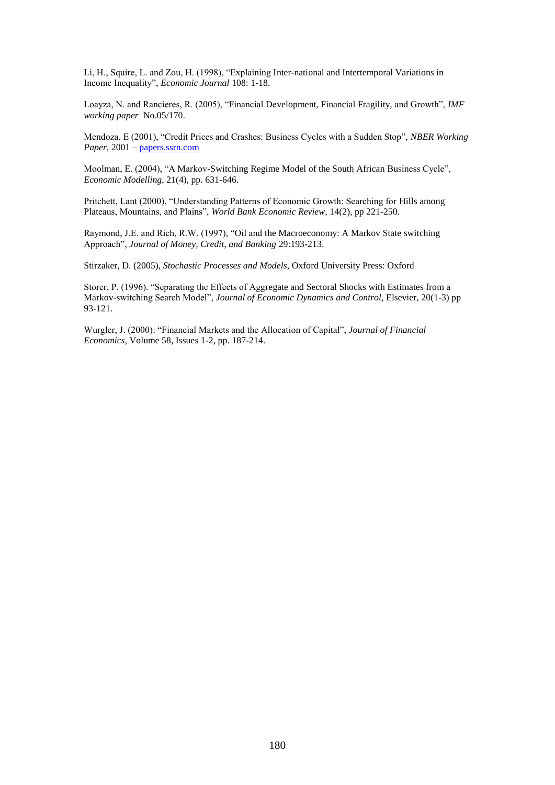Li, H., Squire, L. and Zou, H. (1998), "Explaining Inter-national and Intertemporal Variations in Income Inequality", *Economic Journal* 108: 1-18.

Loayza, N. and Rancieres, R. (2005), "Financial Development, Financial Fragility, and Growth", *IMF working paper* No.05/170.

Mendoza, E (2001), "Credit Prices and Crashes: Business Cycles with a Sudden Stop", *NBER Working Paper*, 2001 – [papers.ssrn.com](http://www.papers.ssrn.com/)

Moolman, E. (2004), "A Markov-Switching Regime Model of the South African Business Cycle", *Economic Modelling*, 21(4), pp. 631-646.

Pritchett, Lant (2000), "Understanding Patterns of Economic Growth: Searching for Hills among Plateaus, Mountains, and Plains", *World Bank Economic Review*, 14(2), pp 221-250.

Raymond, J.E. and Rich, R.W. (1997), "Oil and the Macroeconomy: A Markov State switching Approach", *Journal of Money, Credit, and Banking* 29:193-213.

Stirzaker, D. (2005), *Stochastic Processes and Models*, Oxford University Press: Oxford

Storer, P. (1996). "Separating the Effects of Aggregate and Sectoral Shocks with Estimates from a Markov-switching Search Model", *Journal of Economic Dynamics and Control,* Elsevier, 20(1-3) pp 93-121.

Wurgler, J. (2000): "Financial Markets and the Allocation of Capital", *Journal of Financial Economics*, Volume 58, Issues 1-2, pp. 187-214.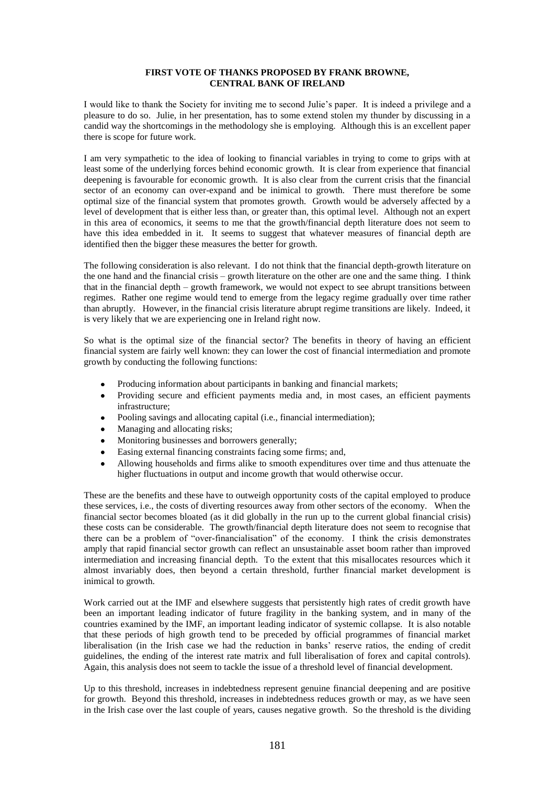# **FIRST VOTE OF THANKS PROPOSED BY FRANK BROWNE, CENTRAL BANK OF IRELAND**

I would like to thank the Society for inviting me to second Julie"s paper. It is indeed a privilege and a pleasure to do so. Julie, in her presentation, has to some extend stolen my thunder by discussing in a candid way the shortcomings in the methodology she is employing. Although this is an excellent paper there is scope for future work.

I am very sympathetic to the idea of looking to financial variables in trying to come to grips with at least some of the underlying forces behind economic growth. It is clear from experience that financial deepening is favourable for economic growth. It is also clear from the current crisis that the financial sector of an economy can over-expand and be inimical to growth. There must therefore be some optimal size of the financial system that promotes growth. Growth would be adversely affected by a level of development that is either less than, or greater than, this optimal level. Although not an expert in this area of economics, it seems to me that the growth/financial depth literature does not seem to have this idea embedded in it. It seems to suggest that whatever measures of financial depth are identified then the bigger these measures the better for growth.

The following consideration is also relevant. I do not think that the financial depth-growth literature on the one hand and the financial crisis – growth literature on the other are one and the same thing. I think that in the financial depth – growth framework, we would not expect to see abrupt transitions between regimes. Rather one regime would tend to emerge from the legacy regime gradually over time rather than abruptly. However, in the financial crisis literature abrupt regime transitions are likely. Indeed, it is very likely that we are experiencing one in Ireland right now.

So what is the optimal size of the financial sector? The benefits in theory of having an efficient financial system are fairly well known: they can lower the cost of financial intermediation and promote growth by conducting the following functions:

- Producing information about participants in banking and financial markets;
- Providing secure and efficient payments media and, in most cases, an efficient payments infrastructure;
- Pooling savings and allocating capital (i.e., financial intermediation);
- Managing and allocating risks;
- Monitoring businesses and borrowers generally;
- Easing external financing constraints facing some firms; and,
- Allowing households and firms alike to smooth expenditures over time and thus attenuate the higher fluctuations in output and income growth that would otherwise occur.

These are the benefits and these have to outweigh opportunity costs of the capital employed to produce these services, i.e., the costs of diverting resources away from other sectors of the economy. When the financial sector becomes bloated (as it did globally in the run up to the current global financial crisis) these costs can be considerable. The growth/financial depth literature does not seem to recognise that there can be a problem of "over-financialisation" of the economy. I think the crisis demonstrates amply that rapid financial sector growth can reflect an unsustainable asset boom rather than improved intermediation and increasing financial depth. To the extent that this misallocates resources which it almost invariably does, then beyond a certain threshold, further financial market development is inimical to growth.

Work carried out at the IMF and elsewhere suggests that persistently high rates of credit growth have been an important leading indicator of future fragility in the banking system, and in many of the countries examined by the IMF, an important leading indicator of systemic collapse. It is also notable that these periods of high growth tend to be preceded by official programmes of financial market liberalisation (in the Irish case we had the reduction in banks' reserve ratios, the ending of credit guidelines, the ending of the interest rate matrix and full liberalisation of forex and capital controls). Again, this analysis does not seem to tackle the issue of a threshold level of financial development.

Up to this threshold, increases in indebtedness represent genuine financial deepening and are positive for growth. Beyond this threshold, increases in indebtedness reduces growth or may, as we have seen in the Irish case over the last couple of years, causes negative growth. So the threshold is the dividing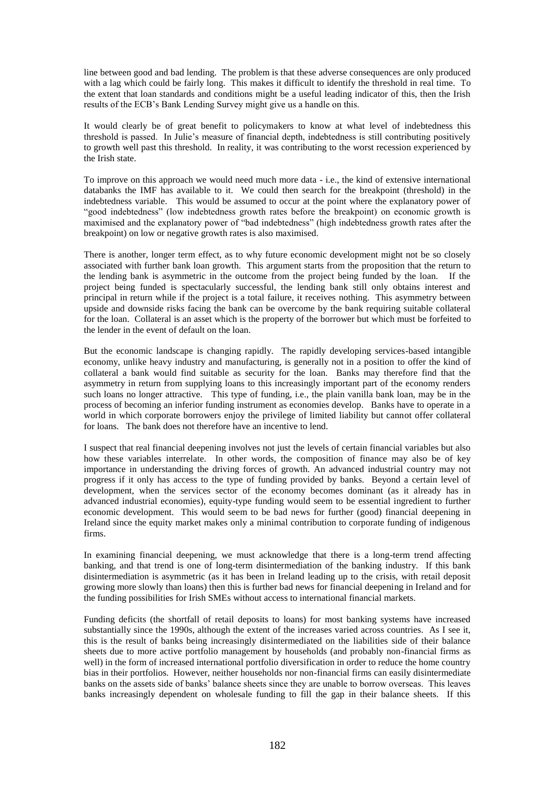line between good and bad lending. The problem is that these adverse consequences are only produced with a lag which could be fairly long. This makes it difficult to identify the threshold in real time. To the extent that loan standards and conditions might be a useful leading indicator of this, then the Irish results of the ECB"s Bank Lending Survey might give us a handle on this.

It would clearly be of great benefit to policymakers to know at what level of indebtedness this threshold is passed. In Julie"s measure of financial depth, indebtedness is still contributing positively to growth well past this threshold. In reality, it was contributing to the worst recession experienced by the Irish state.

To improve on this approach we would need much more data - i.e., the kind of extensive international databanks the IMF has available to it. We could then search for the breakpoint (threshold) in the indebtedness variable. This would be assumed to occur at the point where the explanatory power of "good indebtedness" (low indebtedness growth rates before the breakpoint) on economic growth is maximised and the explanatory power of "bad indebtedness" (high indebtedness growth rates after the breakpoint) on low or negative growth rates is also maximised.

There is another, longer term effect, as to why future economic development might not be so closely associated with further bank loan growth. This argument starts from the proposition that the return to the lending bank is asymmetric in the outcome from the project being funded by the loan. If the project being funded is spectacularly successful, the lending bank still only obtains interest and principal in return while if the project is a total failure, it receives nothing. This asymmetry between upside and downside risks facing the bank can be overcome by the bank requiring suitable collateral for the loan. Collateral is an asset which is the property of the borrower but which must be forfeited to the lender in the event of default on the loan.

But the economic landscape is changing rapidly. The rapidly developing services-based intangible economy, unlike heavy industry and manufacturing, is generally not in a position to offer the kind of collateral a bank would find suitable as security for the loan. Banks may therefore find that the asymmetry in return from supplying loans to this increasingly important part of the economy renders such loans no longer attractive. This type of funding, i.e., the plain vanilla bank loan, may be in the process of becoming an inferior funding instrument as economies develop. Banks have to operate in a world in which corporate borrowers enjoy the privilege of limited liability but cannot offer collateral for loans. The bank does not therefore have an incentive to lend.

I suspect that real financial deepening involves not just the levels of certain financial variables but also how these variables interrelate. In other words, the composition of finance may also be of key importance in understanding the driving forces of growth. An advanced industrial country may not progress if it only has access to the type of funding provided by banks. Beyond a certain level of development, when the services sector of the economy becomes dominant (as it already has in advanced industrial economies), equity-type funding would seem to be essential ingredient to further economic development. This would seem to be bad news for further (good) financial deepening in Ireland since the equity market makes only a minimal contribution to corporate funding of indigenous firms.

In examining financial deepening, we must acknowledge that there is a long-term trend affecting banking, and that trend is one of long-term disintermediation of the banking industry. If this bank disintermediation is asymmetric (as it has been in Ireland leading up to the crisis, with retail deposit growing more slowly than loans) then this is further bad news for financial deepening in Ireland and for the funding possibilities for Irish SMEs without access to international financial markets.

Funding deficits (the shortfall of retail deposits to loans) for most banking systems have increased substantially since the 1990s, although the extent of the increases varied across countries. As I see it, this is the result of banks being increasingly disintermediated on the liabilities side of their balance sheets due to more active portfolio management by households (and probably non-financial firms as well) in the form of increased international portfolio diversification in order to reduce the home country bias in their portfolios. However, neither households nor non-financial firms can easily disintermediate banks on the assets side of banks" balance sheets since they are unable to borrow overseas. This leaves banks increasingly dependent on wholesale funding to fill the gap in their balance sheets. If this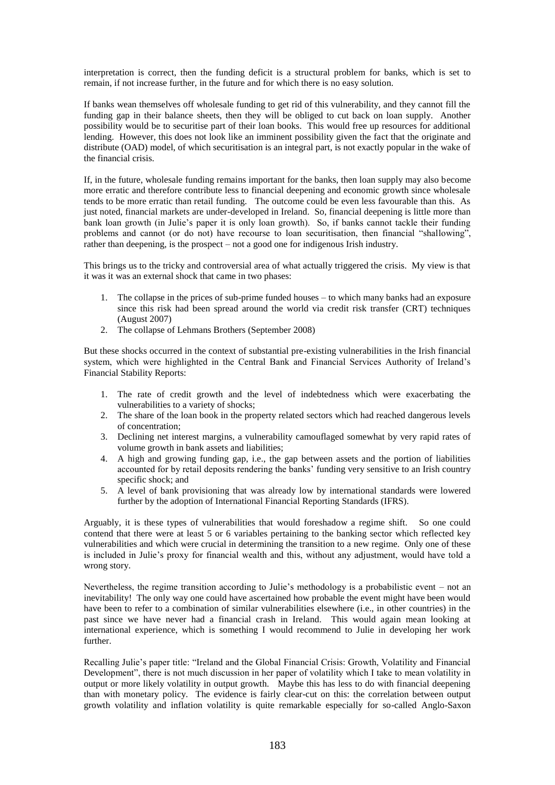interpretation is correct, then the funding deficit is a structural problem for banks, which is set to remain, if not increase further, in the future and for which there is no easy solution.

If banks wean themselves off wholesale funding to get rid of this vulnerability, and they cannot fill the funding gap in their balance sheets, then they will be obliged to cut back on loan supply. Another possibility would be to securitise part of their loan books. This would free up resources for additional lending. However, this does not look like an imminent possibility given the fact that the originate and distribute (OAD) model, of which securitisation is an integral part, is not exactly popular in the wake of the financial crisis.

If, in the future, wholesale funding remains important for the banks, then loan supply may also become more erratic and therefore contribute less to financial deepening and economic growth since wholesale tends to be more erratic than retail funding. The outcome could be even less favourable than this. As just noted, financial markets are under-developed in Ireland. So, financial deepening is little more than bank loan growth (in Julie"s paper it is only loan growth). So, if banks cannot tackle their funding problems and cannot (or do not) have recourse to loan securitisation, then financial "shallowing", rather than deepening, is the prospect – not a good one for indigenous Irish industry.

This brings us to the tricky and controversial area of what actually triggered the crisis. My view is that it was it was an external shock that came in two phases:

- 1. The collapse in the prices of sub-prime funded houses to which many banks had an exposure since this risk had been spread around the world via credit risk transfer (CRT) techniques (August 2007)
- 2. The collapse of Lehmans Brothers (September 2008)

But these shocks occurred in the context of substantial pre-existing vulnerabilities in the Irish financial system, which were highlighted in the Central Bank and Financial Services Authority of Ireland"s Financial Stability Reports:

- 1. The rate of credit growth and the level of indebtedness which were exacerbating the vulnerabilities to a variety of shocks;
- 2. The share of the loan book in the property related sectors which had reached dangerous levels of concentration;
- 3. Declining net interest margins, a vulnerability camouflaged somewhat by very rapid rates of volume growth in bank assets and liabilities;
- 4. A high and growing funding gap, i.e., the gap between assets and the portion of liabilities accounted for by retail deposits rendering the banks' funding very sensitive to an Irish country specific shock; and
- 5. A level of bank provisioning that was already low by international standards were lowered further by the adoption of International Financial Reporting Standards (IFRS).

Arguably, it is these types of vulnerabilities that would foreshadow a regime shift. So one could contend that there were at least 5 or 6 variables pertaining to the banking sector which reflected key vulnerabilities and which were crucial in determining the transition to a new regime. Only one of these is included in Julie"s proxy for financial wealth and this, without any adjustment, would have told a wrong story.

Nevertheless, the regime transition according to Julie"s methodology is a probabilistic event – not an inevitability! The only way one could have ascertained how probable the event might have been would have been to refer to a combination of similar vulnerabilities elsewhere (i.e., in other countries) in the past since we have never had a financial crash in Ireland. This would again mean looking at international experience, which is something I would recommend to Julie in developing her work further.

Recalling Julie"s paper title: "Ireland and the Global Financial Crisis: Growth, Volatility and Financial Development", there is not much discussion in her paper of volatility which I take to mean volatility in output or more likely volatility in output growth. Maybe this has less to do with financial deepening than with monetary policy. The evidence is fairly clear-cut on this: the correlation between output growth volatility and inflation volatility is quite remarkable especially for so-called Anglo-Saxon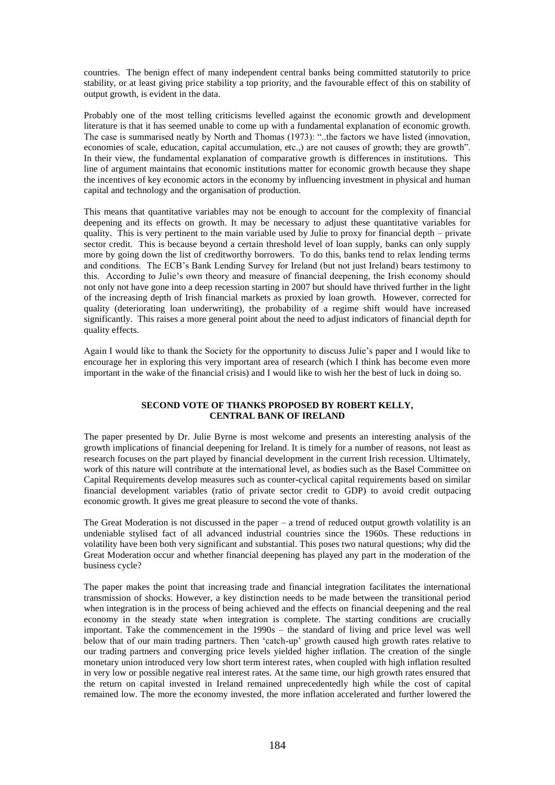countries. The benign effect of many independent central banks being committed statutorily to price stability, or at least giving price stability a top priority, and the favourable effect of this on stability of output growth, is evident in the data.

Probably one of the most telling criticisms levelled against the economic growth and development literature is that it has seemed unable to come up with a fundamental explanation of economic growth. The case is summarised neatly by North and Thomas (1973): "..the factors we have listed (innovation, economies of scale, education, capital accumulation, etc.,) are not causes of growth; they are growth". In their view, the fundamental explanation of comparative growth is differences in institutions. This line of argument maintains that economic institutions matter for economic growth because they shape the incentives of key economic actors in the economy by influencing investment in physical and human capital and technology and the organisation of production.

This means that quantitative variables may not be enough to account for the complexity of financial deepening and its effects on growth. It may be necessary to adjust these quantitative variables for quality. This is very pertinent to the main variable used by Julie to proxy for financial depth – private sector credit. This is because beyond a certain threshold level of loan supply, banks can only supply more by going down the list of creditworthy borrowers. To do this, banks tend to relax lending terms and conditions. The ECB"s Bank Lending Survey for Ireland (but not just Ireland) bears testimony to this. According to Julie"s own theory and measure of financial deepening, the Irish economy should not only not have gone into a deep recession starting in 2007 but should have thrived further in the light of the increasing depth of Irish financial markets as proxied by loan growth. However, corrected for quality (deteriorating loan underwriting), the probability of a regime shift would have increased significantly. This raises a more general point about the need to adjust indicators of financial depth for quality effects.

Again I would like to thank the Society for the opportunity to discuss Julie"s paper and I would like to encourage her in exploring this very important area of research (which I think has become even more important in the wake of the financial crisis) and I would like to wish her the best of luck in doing so.

# **SECOND VOTE OF THANKS PROPOSED BY ROBERT KELLY, CENTRAL BANK OF IRELAND**

The paper presented by Dr. Julie Byrne is most welcome and presents an interesting analysis of the growth implications of financial deepening for Ireland. It is timely for a number of reasons, not least as research focuses on the part played by financial development in the current Irish recession. Ultimately, work of this nature will contribute at the international level, as bodies such as the Basel Committee on Capital Requirements develop measures such as counter-cyclical capital requirements based on similar financial development variables (ratio of private sector credit to GDP) to avoid credit outpacing economic growth. It gives me great pleasure to second the vote of thanks.

The Great Moderation is not discussed in the paper – a trend of reduced output growth volatility is an undeniable stylised fact of all advanced industrial countries since the 1960s. These reductions in volatility have been both very significant and substantial. This poses two natural questions; why did the Great Moderation occur and whether financial deepening has played any part in the moderation of the business cycle?

The paper makes the point that increasing trade and financial integration facilitates the international transmission of shocks. However, a key distinction needs to be made between the transitional period when integration is in the process of being achieved and the effects on financial deepening and the real economy in the steady state when integration is complete. The starting conditions are crucially important. Take the commencement in the 1990s – the standard of living and price level was well below that of our main trading partners. Then "catch-up" growth caused high growth rates relative to our trading partners and converging price levels yielded higher inflation. The creation of the single monetary union introduced very low short term interest rates, when coupled with high inflation resulted in very low or possible negative real interest rates. At the same time, our high growth rates ensured that the return on capital invested in Ireland remained unprecedentedly high while the cost of capital remained low. The more the economy invested, the more inflation accelerated and further lowered the